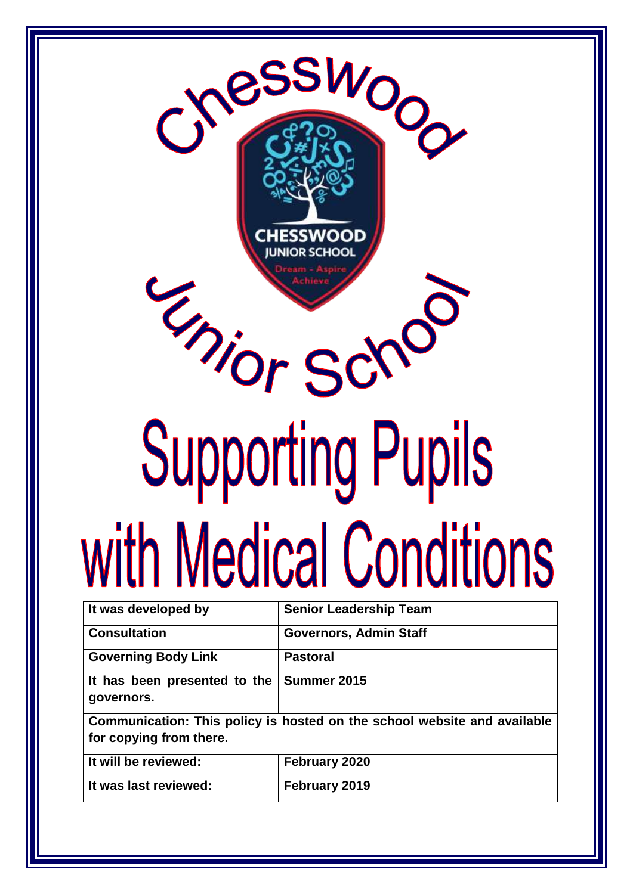

| It was developed by                                                      | <b>Senior Leadership Team</b> |  |
|--------------------------------------------------------------------------|-------------------------------|--|
| <b>Consultation</b>                                                      | <b>Governors, Admin Staff</b> |  |
| <b>Governing Body Link</b>                                               | <b>Pastoral</b>               |  |
| It has been presented to the                                             | Summer 2015                   |  |
| governors.                                                               |                               |  |
| Communication: This policy is hosted on the school website and available |                               |  |
| for copying from there.                                                  |                               |  |
| It will be reviewed:                                                     | February 2020                 |  |
| It was last reviewed:                                                    | February 2019                 |  |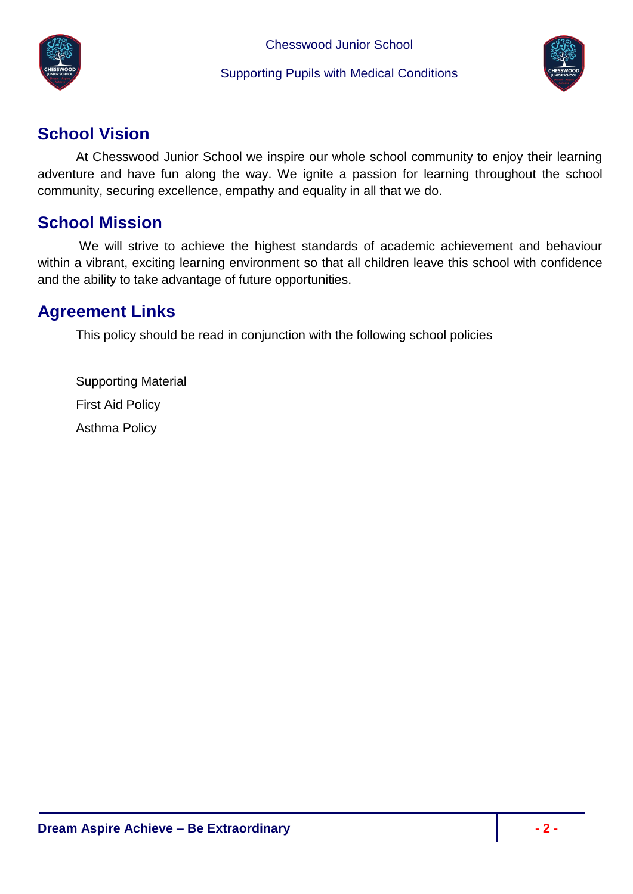



# <span id="page-1-0"></span>**School Vision**

At Chesswood Junior School we inspire our whole school community to enjoy their learning adventure and have fun along the way. We ignite a passion for learning throughout the school community, securing excellence, empathy and equality in all that we do.

# <span id="page-1-1"></span>**School Mission**

We will strive to achieve the highest standards of academic achievement and behaviour within a vibrant, exciting learning environment so that all children leave this school with confidence and the ability to take advantage of future opportunities.

# <span id="page-1-2"></span>**Agreement Links**

This policy should be read in conjunction with the following school policies

Supporting Material First Aid Policy Asthma Policy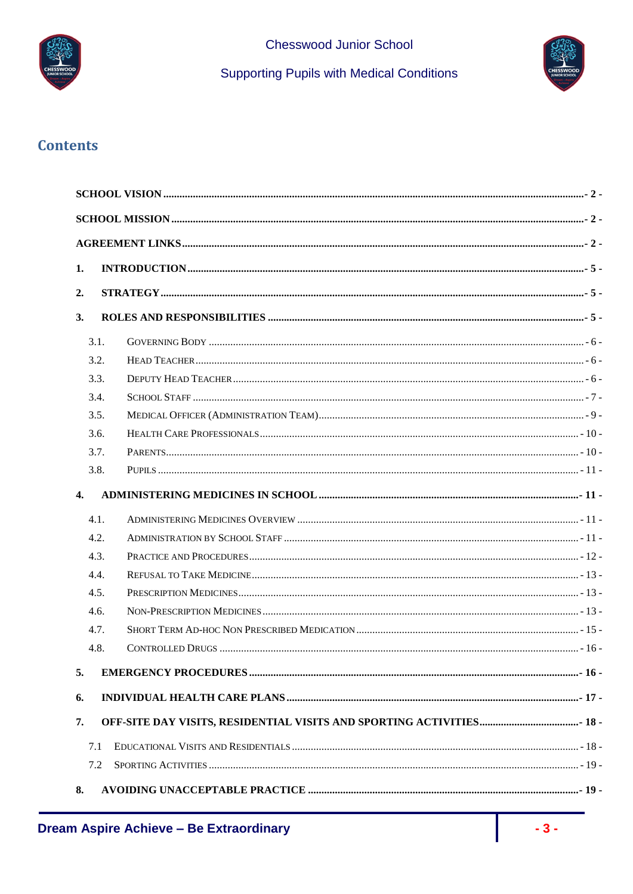

**Supporting Pupils with Medical Conditions** 



# **Contents**

| 1.   |  |  |  |
|------|--|--|--|
|      |  |  |  |
| 2.   |  |  |  |
| 3.   |  |  |  |
| 3.1. |  |  |  |
| 3.2. |  |  |  |
| 3.3. |  |  |  |
| 3.4. |  |  |  |
| 3.5. |  |  |  |
| 3.6. |  |  |  |
| 3.7. |  |  |  |
| 3.8. |  |  |  |
| 4.   |  |  |  |
| 4.1. |  |  |  |
| 4.2. |  |  |  |
| 4.3. |  |  |  |
| 4.4. |  |  |  |
| 4.5. |  |  |  |
| 4.6. |  |  |  |
| 4.7. |  |  |  |
| 4.8. |  |  |  |
| 5.   |  |  |  |
| 6.   |  |  |  |
| 7.   |  |  |  |
| 7.1  |  |  |  |
| 7.2  |  |  |  |
| 8.   |  |  |  |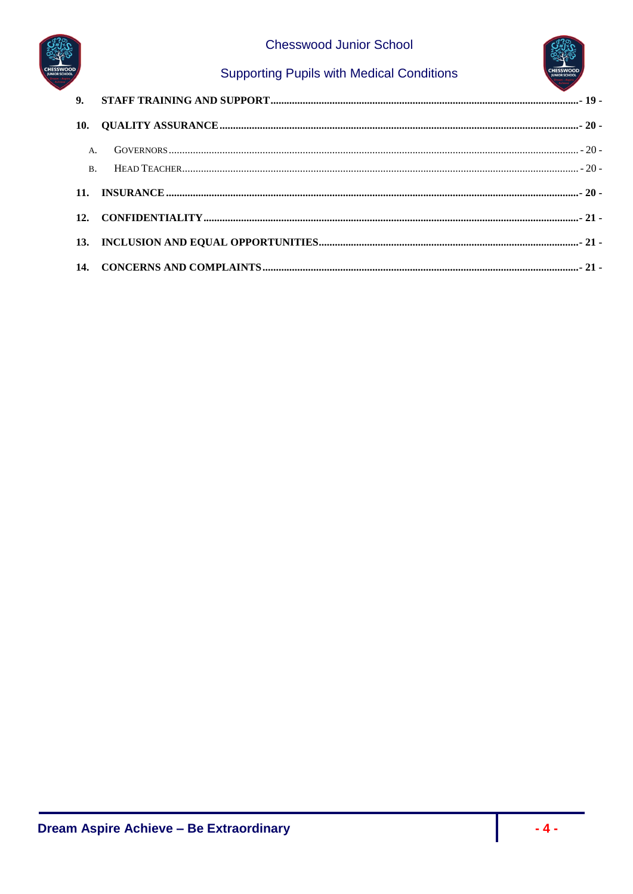

# **Supporting Pupils with Medical Conditions**

| <b>A.</b> |  |
|-----------|--|
|           |  |
|           |  |
|           |  |
|           |  |
|           |  |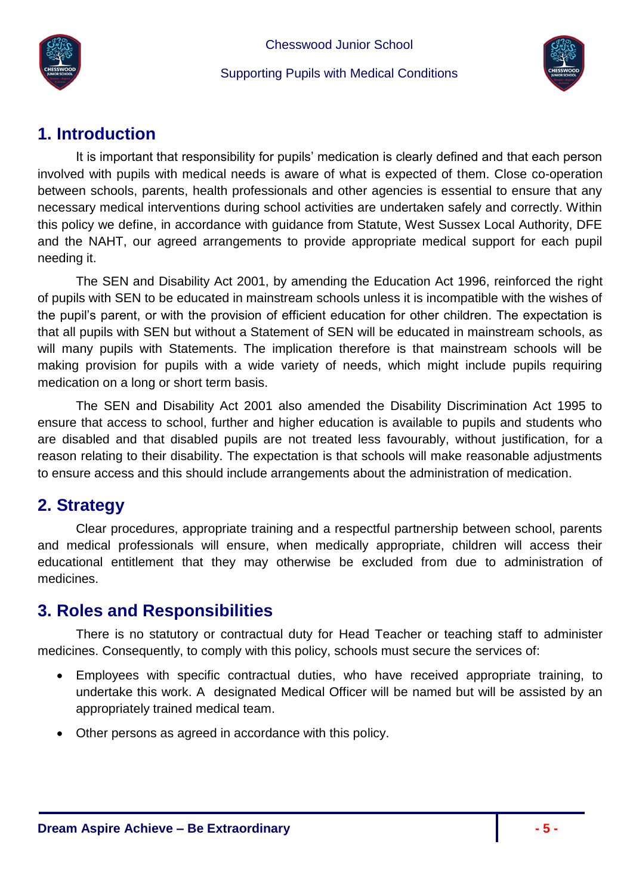



# <span id="page-4-0"></span>**1. Introduction**

It is important that responsibility for pupils' medication is clearly defined and that each person involved with pupils with medical needs is aware of what is expected of them. Close co-operation between schools, parents, health professionals and other agencies is essential to ensure that any necessary medical interventions during school activities are undertaken safely and correctly. Within this policy we define, in accordance with guidance from Statute, West Sussex Local Authority, DFE and the NAHT, our agreed arrangements to provide appropriate medical support for each pupil needing it.

The SEN and Disability Act 2001, by amending the Education Act 1996, reinforced the right of pupils with SEN to be educated in mainstream schools unless it is incompatible with the wishes of the pupil's parent, or with the provision of efficient education for other children. The expectation is that all pupils with SEN but without a Statement of SEN will be educated in mainstream schools, as will many pupils with Statements. The implication therefore is that mainstream schools will be making provision for pupils with a wide variety of needs, which might include pupils requiring medication on a long or short term basis.

The SEN and Disability Act 2001 also amended the Disability Discrimination Act 1995 to ensure that access to school, further and higher education is available to pupils and students who are disabled and that disabled pupils are not treated less favourably, without justification, for a reason relating to their disability. The expectation is that schools will make reasonable adjustments to ensure access and this should include arrangements about the administration of medication.

# <span id="page-4-1"></span>**2. Strategy**

Clear procedures, appropriate training and a respectful partnership between school, parents and medical professionals will ensure, when medically appropriate, children will access their educational entitlement that they may otherwise be excluded from due to administration of medicines.

# <span id="page-4-2"></span>**3. Roles and Responsibilities**

There is no statutory or contractual duty for Head Teacher or teaching staff to administer medicines. Consequently, to comply with this policy, schools must secure the services of:

- Employees with specific contractual duties, who have received appropriate training, to undertake this work. A designated Medical Officer will be named but will be assisted by an appropriately trained medical team.
- Other persons as agreed in accordance with this policy.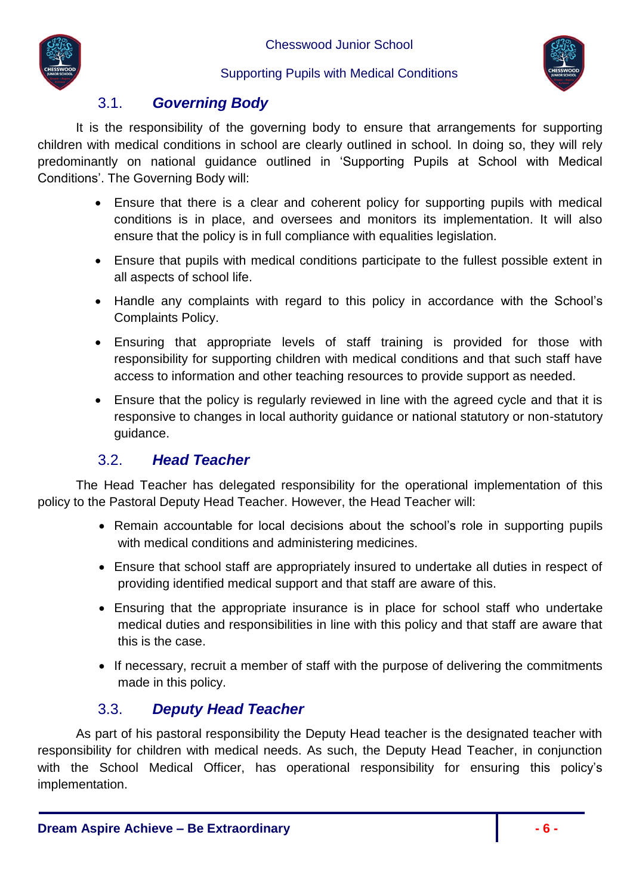



# 3.1. *Governing Body*

<span id="page-5-0"></span>It is the responsibility of the governing body to ensure that arrangements for supporting children with medical conditions in school are clearly outlined in school. In doing so, they will rely predominantly on national guidance outlined in 'Supporting Pupils at School with Medical Conditions'. The Governing Body will:

- Ensure that there is a clear and coherent policy for supporting pupils with medical conditions is in place, and oversees and monitors its implementation. It will also ensure that the policy is in full compliance with equalities legislation.
- Ensure that pupils with medical conditions participate to the fullest possible extent in all aspects of school life.
- Handle any complaints with regard to this policy in accordance with the School's Complaints Policy.
- Ensuring that appropriate levels of staff training is provided for those with responsibility for supporting children with medical conditions and that such staff have access to information and other teaching resources to provide support as needed.
- Ensure that the policy is regularly reviewed in line with the agreed cycle and that it is responsive to changes in local authority guidance or national statutory or non-statutory guidance.

### 3.2. *Head Teacher*

<span id="page-5-1"></span>The Head Teacher has delegated responsibility for the operational implementation of this policy to the Pastoral Deputy Head Teacher. However, the Head Teacher will:

- Remain accountable for local decisions about the school's role in supporting pupils with medical conditions and administering medicines.
- Ensure that school staff are appropriately insured to undertake all duties in respect of providing identified medical support and that staff are aware of this.
- Ensuring that the appropriate insurance is in place for school staff who undertake medical duties and responsibilities in line with this policy and that staff are aware that this is the case.
- If necessary, recruit a member of staff with the purpose of delivering the commitments made in this policy.

# 3.3. *Deputy Head Teacher*

<span id="page-5-2"></span>As part of his pastoral responsibility the Deputy Head teacher is the designated teacher with responsibility for children with medical needs. As such, the Deputy Head Teacher, in conjunction with the School Medical Officer, has operational responsibility for ensuring this policy's implementation.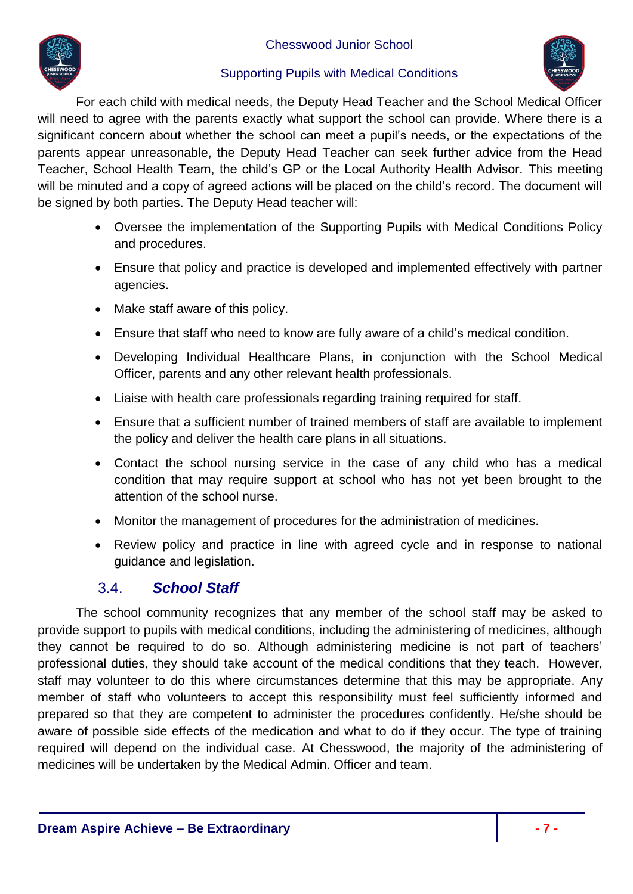

#### Supporting Pupils with Medical Conditions



For each child with medical needs, the Deputy Head Teacher and the School Medical Officer will need to agree with the parents exactly what support the school can provide. Where there is a significant concern about whether the school can meet a pupil's needs, or the expectations of the parents appear unreasonable, the Deputy Head Teacher can seek further advice from the Head Teacher, School Health Team, the child's GP or the Local Authority Health Advisor. This meeting will be minuted and a copy of agreed actions will be placed on the child's record. The document will be signed by both parties. The Deputy Head teacher will:

- Oversee the implementation of the Supporting Pupils with Medical Conditions Policy and procedures.
- Ensure that policy and practice is developed and implemented effectively with partner agencies.
- Make staff aware of this policy.
- Ensure that staff who need to know are fully aware of a child's medical condition.
- Developing Individual Healthcare Plans, in conjunction with the School Medical Officer, parents and any other relevant health professionals.
- Liaise with health care professionals regarding training required for staff.
- Ensure that a sufficient number of trained members of staff are available to implement the policy and deliver the health care plans in all situations.
- Contact the school nursing service in the case of any child who has a medical condition that may require support at school who has not yet been brought to the attention of the school nurse.
- Monitor the management of procedures for the administration of medicines.
- Review policy and practice in line with agreed cycle and in response to national guidance and legislation.

# 3.4. *School Staff*

<span id="page-6-0"></span>The school community recognizes that any member of the school staff may be asked to provide support to pupils with medical conditions, including the administering of medicines, although they cannot be required to do so. Although administering medicine is not part of teachers' professional duties, they should take account of the medical conditions that they teach. However, staff may volunteer to do this where circumstances determine that this may be appropriate. Any member of staff who volunteers to accept this responsibility must feel sufficiently informed and prepared so that they are competent to administer the procedures confidently. He/she should be aware of possible side effects of the medication and what to do if they occur. The type of training required will depend on the individual case. At Chesswood, the majority of the administering of medicines will be undertaken by the Medical Admin. Officer and team.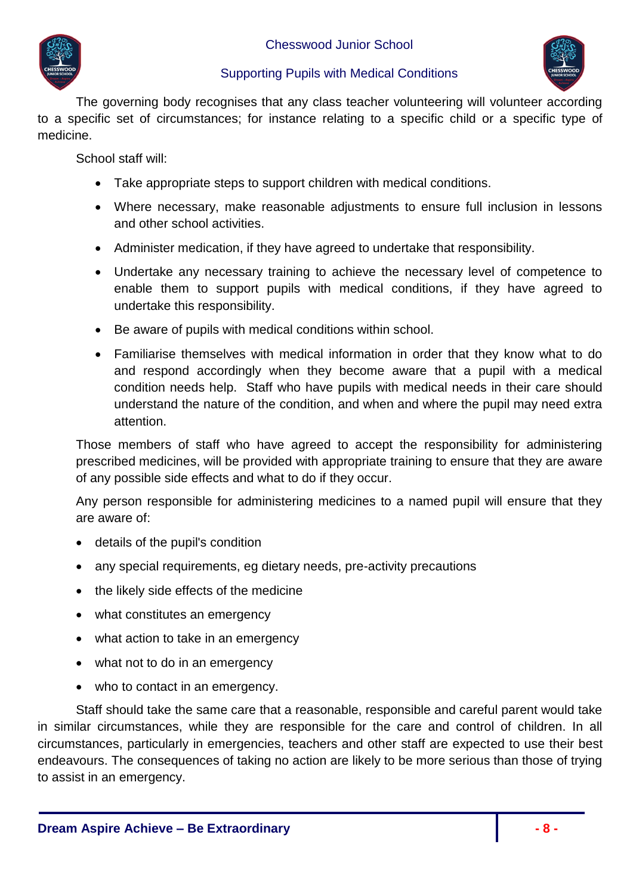

The governing body recognises that any class teacher volunteering will volunteer according to a specific set of circumstances; for instance relating to a specific child or a specific type of medicine.

School staff will:

- Take appropriate steps to support children with medical conditions.
- Where necessary, make reasonable adjustments to ensure full inclusion in lessons and other school activities.
- Administer medication, if they have agreed to undertake that responsibility.
- Undertake any necessary training to achieve the necessary level of competence to enable them to support pupils with medical conditions, if they have agreed to undertake this responsibility.
- Be aware of pupils with medical conditions within school.
- Familiarise themselves with medical information in order that they know what to do and respond accordingly when they become aware that a pupil with a medical condition needs help. Staff who have pupils with medical needs in their care should understand the nature of the condition, and when and where the pupil may need extra attention.

Those members of staff who have agreed to accept the responsibility for administering prescribed medicines, will be provided with appropriate training to ensure that they are aware of any possible side effects and what to do if they occur.

Any person responsible for administering medicines to a named pupil will ensure that they are aware of:

- details of the pupil's condition
- any special requirements, eg dietary needs, pre-activity precautions
- the likely side effects of the medicine
- what constitutes an emergency
- what action to take in an emergency
- what not to do in an emergency
- who to contact in an emergency.

Staff should take the same care that a reasonable, responsible and careful parent would take in similar circumstances, while they are responsible for the care and control of children. In all circumstances, particularly in emergencies, teachers and other staff are expected to use their best endeavours. The consequences of taking no action are likely to be more serious than those of trying to assist in an emergency.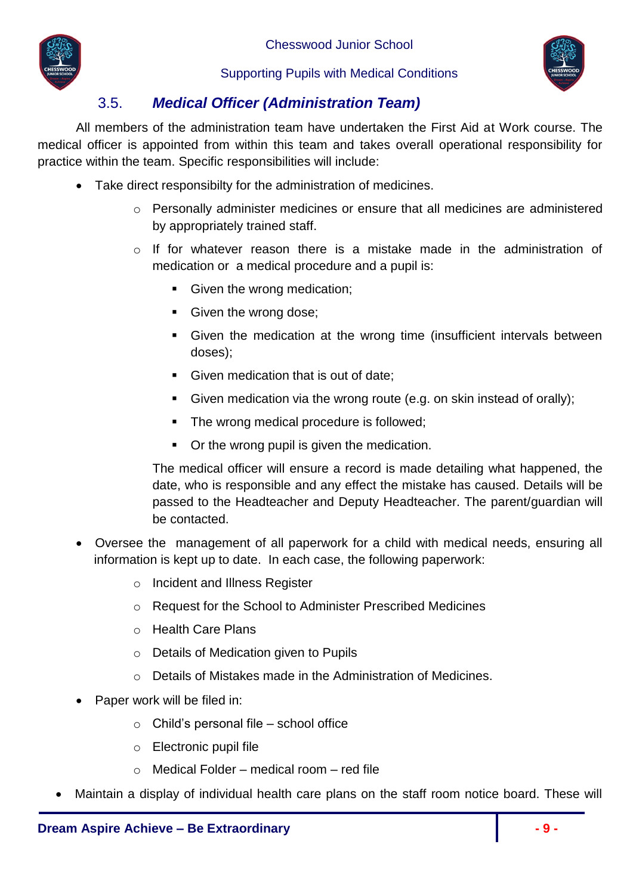



# 3.5. *Medical Officer (Administration Team)*

<span id="page-8-0"></span>All members of the administration team have undertaken the First Aid at Work course. The medical officer is appointed from within this team and takes overall operational responsibility for practice within the team. Specific responsibilities will include:

- Take direct responsibilty for the administration of medicines.
	- o Personally administer medicines or ensure that all medicines are administered by appropriately trained staff.
	- o If for whatever reason there is a mistake made in the administration of medication or a medical procedure and a pupil is:
		- Given the wrong medication;
		- Given the wrong dose;
		- Given the medication at the wrong time (insufficient intervals between doses);
		- Given medication that is out of date;
		- Given medication via the wrong route (e.g. on skin instead of orally);
		- The wrong medical procedure is followed;
		- Or the wrong pupil is given the medication.

The medical officer will ensure a record is made detailing what happened, the date, who is responsible and any effect the mistake has caused. Details will be passed to the Headteacher and Deputy Headteacher. The parent/guardian will be contacted.

- Oversee the management of all paperwork for a child with medical needs, ensuring all information is kept up to date. In each case, the following paperwork:
	- o Incident and Illness Register
	- o Request for the School to Administer Prescribed Medicines
	- o Health Care Plans
	- o Details of Medication given to Pupils
	- o Details of Mistakes made in the Administration of Medicines.
- Paper work will be filed in:
	- o Child's personal file school office
	- o Electronic pupil file
	- $\circ$  Medical Folder medical room red file
- Maintain a display of individual health care plans on the staff room notice board. These will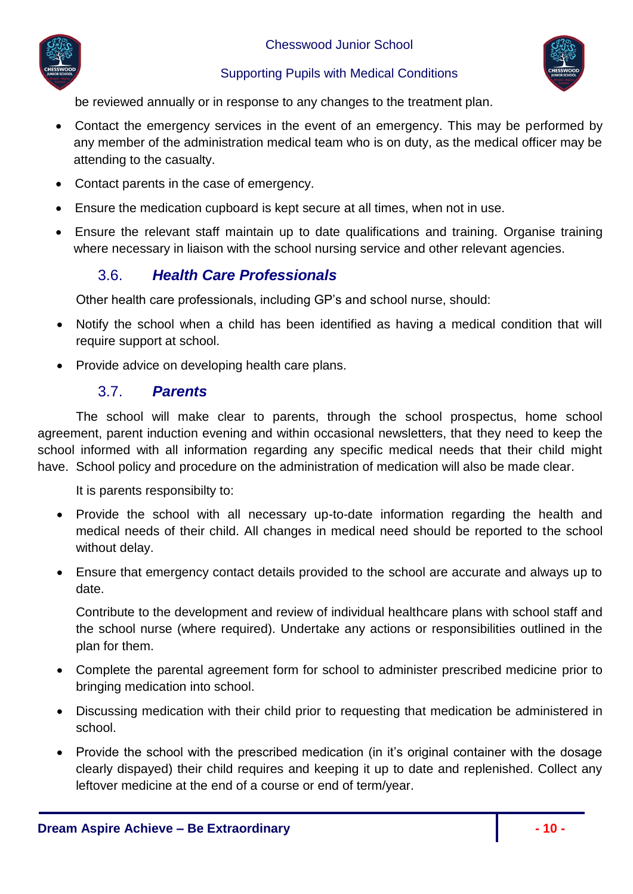



be reviewed annually or in response to any changes to the treatment plan.

- Contact the emergency services in the event of an emergency. This may be performed by any member of the administration medical team who is on duty, as the medical officer may be attending to the casualty.
- Contact parents in the case of emergency.
- Ensure the medication cupboard is kept secure at all times, when not in use.
- <span id="page-9-0"></span> Ensure the relevant staff maintain up to date qualifications and training. Organise training where necessary in liaison with the school nursing service and other relevant agencies.

# 3.6. *Health Care Professionals*

Other health care professionals, including GP's and school nurse, should:

- Notify the school when a child has been identified as having a medical condition that will require support at school.
- Provide advice on developing health care plans.

### 3.7. *Parents*

<span id="page-9-1"></span>The school will make clear to parents, through the school prospectus, home school agreement, parent induction evening and within occasional newsletters, that they need to keep the school informed with all information regarding any specific medical needs that their child might have. School policy and procedure on the administration of medication will also be made clear.

It is parents responsibilty to:

- Provide the school with all necessary up-to-date information regarding the health and medical needs of their child. All changes in medical need should be reported to the school without delay.
- Ensure that emergency contact details provided to the school are accurate and always up to date.

Contribute to the development and review of individual healthcare plans with school staff and the school nurse (where required). Undertake any actions or responsibilities outlined in the plan for them.

- Complete the parental agreement form for school to administer prescribed medicine prior to bringing medication into school.
- Discussing medication with their child prior to requesting that medication be administered in school.
- Provide the school with the prescribed medication (in it's original container with the dosage clearly dispayed) their child requires and keeping it up to date and replenished. Collect any leftover medicine at the end of a course or end of term/year.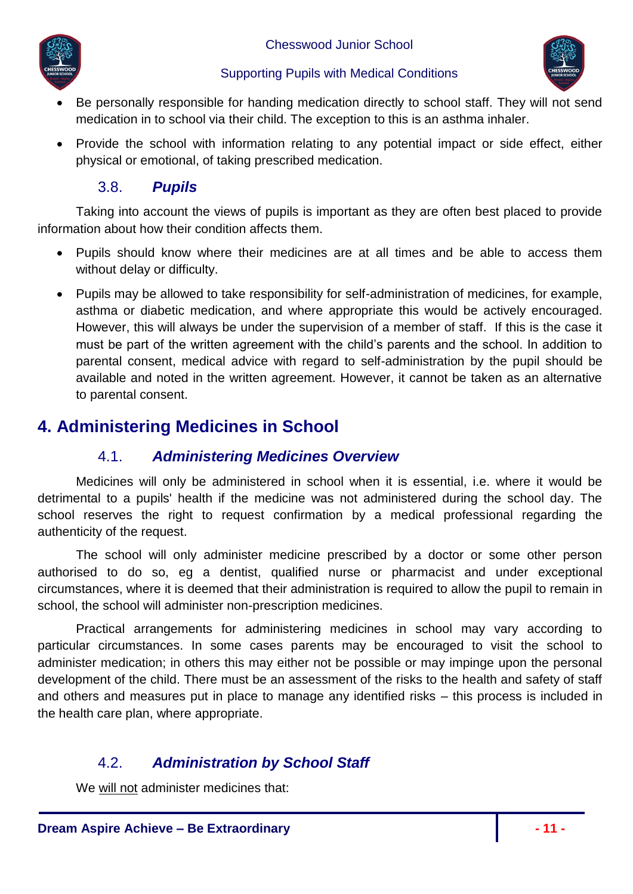



- Be personally responsible for handing medication directly to school staff. They will not send medication in to school via their child. The exception to this is an asthma inhaler.
- Provide the school with information relating to any potential impact or side effect, either physical or emotional, of taking prescribed medication.

# 3.8. *Pupils*

<span id="page-10-0"></span>Taking into account the views of pupils is important as they are often best placed to provide information about how their condition affects them.

- Pupils should know where their medicines are at all times and be able to access them without delay or difficulty.
- Pupils may be allowed to take responsibility for self-administration of medicines, for example, asthma or diabetic medication, and where appropriate this would be actively encouraged. However, this will always be under the supervision of a member of staff. If this is the case it must be part of the written agreement with the child's parents and the school. In addition to parental consent, medical advice with regard to self-administration by the pupil should be available and noted in the written agreement. However, it cannot be taken as an alternative to parental consent.

# <span id="page-10-2"></span><span id="page-10-1"></span>**4. Administering Medicines in School**

# 4.1. *Administering Medicines Overview*

Medicines will only be administered in school when it is essential, i.e. where it would be detrimental to a pupils' health if the medicine was not administered during the school day. The school reserves the right to request confirmation by a medical professional regarding the authenticity of the request.

The school will only administer medicine prescribed by a doctor or some other person authorised to do so, eg a dentist, qualified nurse or pharmacist and under exceptional circumstances, where it is deemed that their administration is required to allow the pupil to remain in school, the school will administer non-prescription medicines.

Practical arrangements for administering medicines in school may vary according to particular circumstances. In some cases parents may be encouraged to visit the school to administer medication; in others this may either not be possible or may impinge upon the personal development of the child. There must be an assessment of the risks to the health and safety of staff and others and measures put in place to manage any identified risks – this process is included in the health care plan, where appropriate.

# 4.2. *Administration by School Staff*

<span id="page-10-3"></span>We will not administer medicines that: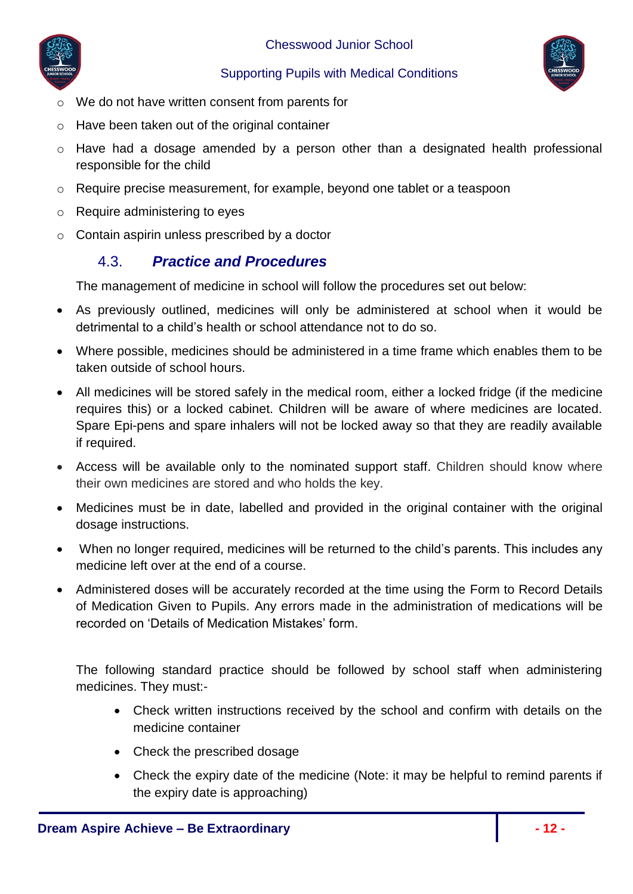



- o We do not have written consent from parents for
- o Have been taken out of the original container
- o Have had a dosage amended by a person other than a designated health professional responsible for the child
- o Require precise measurement, for example, beyond one tablet or a teaspoon
- o Require administering to eyes
- <span id="page-11-0"></span>o Contain aspirin unless prescribed by a doctor

# 4.3. *Practice and Procedures*

The management of medicine in school will follow the procedures set out below:

- As previously outlined, medicines will only be administered at school when it would be detrimental to a child's health or school attendance not to do so.
- Where possible, medicines should be administered in a time frame which enables them to be taken outside of school hours.
- All medicines will be stored safely in the medical room, either a locked fridge (if the medicine requires this) or a locked cabinet. Children will be aware of where medicines are located. Spare Epi-pens and spare inhalers will not be locked away so that they are readily available if required.
- Access will be available only to the nominated support staff. Children should know where their own medicines are stored and who holds the key.
- Medicines must be in date, labelled and provided in the original container with the original dosage instructions.
- When no longer required, medicines will be returned to the child's parents. This includes any medicine left over at the end of a course.
- Administered doses will be accurately recorded at the time using the Form to Record Details of Medication Given to Pupils. Any errors made in the administration of medications will be recorded on 'Details of Medication Mistakes' form.

The following standard practice should be followed by school staff when administering medicines. They must:-

- Check written instructions received by the school and confirm with details on the medicine container
- Check the prescribed dosage
- Check the expiry date of the medicine (Note: it may be helpful to remind parents if the expiry date is approaching)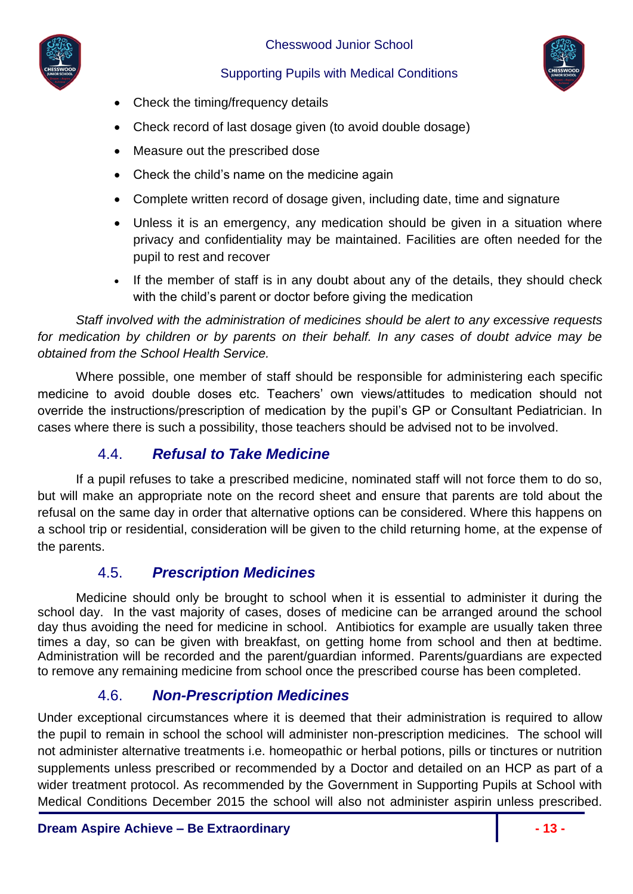



- Check the timing/frequency details
- Check record of last dosage given (to avoid double dosage)
- Measure out the prescribed dose
- Check the child's name on the medicine again
- Complete written record of dosage given, including date, time and signature
- Unless it is an emergency, any medication should be given in a situation where privacy and confidentiality may be maintained. Facilities are often needed for the pupil to rest and recover
- If the member of staff is in any doubt about any of the details, they should check with the child's parent or doctor before giving the medication

*Staff involved with the administration of medicines should be alert to any excessive requests for medication by children or by parents on their behalf. In any cases of doubt advice may be obtained from the School Health Service.*

Where possible, one member of staff should be responsible for administering each specific medicine to avoid double doses etc. Teachers' own views/attitudes to medication should not override the instructions/prescription of medication by the pupil's GP or Consultant Pediatrician. In cases where there is such a possibility, those teachers should be advised not to be involved.

### 4.4. *Refusal to Take Medicine*

<span id="page-12-0"></span>If a pupil refuses to take a prescribed medicine, nominated staff will not force them to do so, but will make an appropriate note on the record sheet and ensure that parents are told about the refusal on the same day in order that alternative options can be considered. Where this happens on a school trip or residential, consideration will be given to the child returning home, at the expense of the parents.

### 4.5. *Prescription Medicines*

<span id="page-12-1"></span>Medicine should only be brought to school when it is essential to administer it during the school day. In the vast majority of cases, doses of medicine can be arranged around the school day thus avoiding the need for medicine in school. Antibiotics for example are usually taken three times a day, so can be given with breakfast, on getting home from school and then at bedtime. Administration will be recorded and the parent/guardian informed. Parents/guardians are expected to remove any remaining medicine from school once the prescribed course has been completed.

# 4.6. *Non-Prescription Medicines*

<span id="page-12-2"></span>Under exceptional circumstances where it is deemed that their administration is required to allow the pupil to remain in school the school will administer non-prescription medicines. The school will not administer alternative treatments i.e. homeopathic or herbal potions, pills or tinctures or nutrition supplements unless prescribed or recommended by a Doctor and detailed on an HCP as part of a wider treatment protocol. As recommended by the Government in Supporting Pupils at School with Medical Conditions December 2015 the school will also not administer aspirin unless prescribed.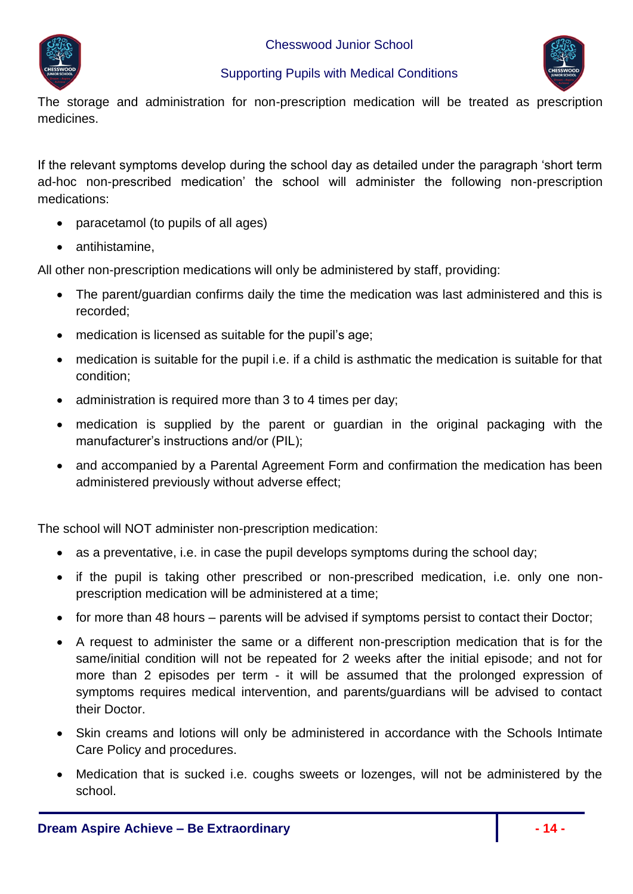



The storage and administration for non-prescription medication will be treated as prescription medicines.

If the relevant symptoms develop during the school day as detailed under the paragraph 'short term ad-hoc non-prescribed medication' the school will administer the following non-prescription medications:

- paracetamol (to pupils of all ages)
- antihistamine.

All other non-prescription medications will only be administered by staff, providing:

- The parent/guardian confirms daily the time the medication was last administered and this is recorded;
- medication is licensed as suitable for the pupil's age;
- medication is suitable for the pupil i.e. if a child is asthmatic the medication is suitable for that condition;
- administration is required more than 3 to 4 times per day;
- medication is supplied by the parent or guardian in the original packaging with the manufacturer's instructions and/or (PIL);
- and accompanied by a Parental Agreement Form and confirmation the medication has been administered previously without adverse effect;

The school will NOT administer non-prescription medication:

- as a preventative, i.e. in case the pupil develops symptoms during the school day;
- if the pupil is taking other prescribed or non-prescribed medication, i.e. only one nonprescription medication will be administered at a time;
- for more than 48 hours parents will be advised if symptoms persist to contact their Doctor;
- A request to administer the same or a different non-prescription medication that is for the same/initial condition will not be repeated for 2 weeks after the initial episode; and not for more than 2 episodes per term - it will be assumed that the prolonged expression of symptoms requires medical intervention, and parents/guardians will be advised to contact their Doctor.
- Skin creams and lotions will only be administered in accordance with the Schools Intimate Care Policy and procedures.
- Medication that is sucked i.e. coughs sweets or lozenges, will not be administered by the school.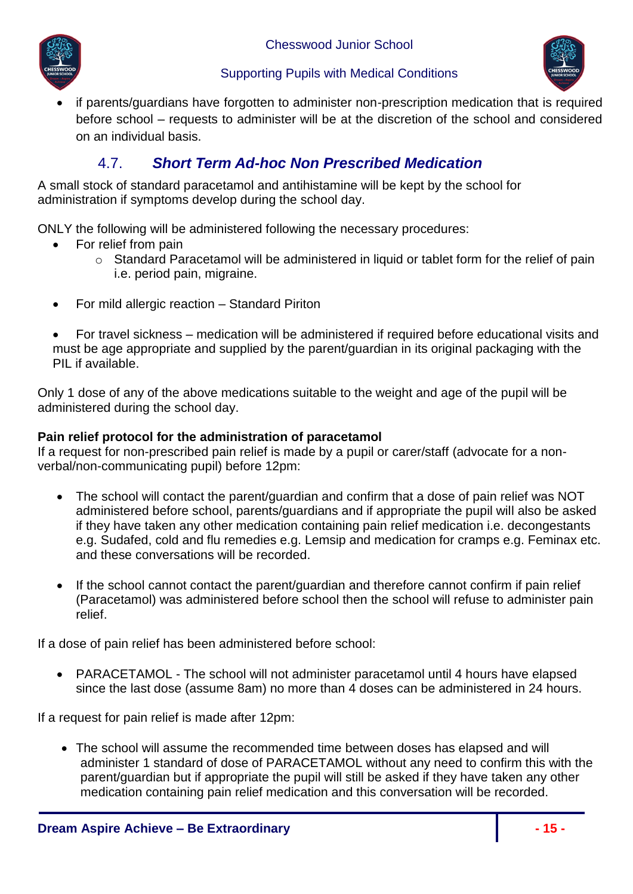

#### Supporting Pupils with Medical Conditions



 if parents/guardians have forgotten to administer non-prescription medication that is required before school – requests to administer will be at the discretion of the school and considered on an individual basis.

# 4.7. *Short Term Ad-hoc Non Prescribed Medication*

<span id="page-14-0"></span>A small stock of standard paracetamol and antihistamine will be kept by the school for administration if symptoms develop during the school day.

ONLY the following will be administered following the necessary procedures:

- For relief from pain
	- o Standard Paracetamol will be administered in liquid or tablet form for the relief of pain i.e. period pain, migraine.
- For mild allergic reaction Standard Piriton
- For travel sickness medication will be administered if required before educational visits and must be age appropriate and supplied by the parent/guardian in its original packaging with the PIL if available.

Only 1 dose of any of the above medications suitable to the weight and age of the pupil will be administered during the school day.

#### **Pain relief protocol for the administration of paracetamol**

If a request for non-prescribed pain relief is made by a pupil or carer/staff (advocate for a nonverbal/non-communicating pupil) before 12pm:

- The school will contact the parent/guardian and confirm that a dose of pain relief was NOT administered before school, parents/guardians and if appropriate the pupil will also be asked if they have taken any other medication containing pain relief medication i.e. decongestants e.g. Sudafed, cold and flu remedies e.g. Lemsip and medication for cramps e.g. Feminax etc. and these conversations will be recorded.
- If the school cannot contact the parent/guardian and therefore cannot confirm if pain relief (Paracetamol) was administered before school then the school will refuse to administer pain relief.

If a dose of pain relief has been administered before school:

• PARACETAMOL - The school will not administer paracetamol until 4 hours have elapsed since the last dose (assume 8am) no more than 4 doses can be administered in 24 hours.

If a request for pain relief is made after 12pm:

 The school will assume the recommended time between doses has elapsed and will administer 1 standard of dose of PARACETAMOL without any need to confirm this with the parent/guardian but if appropriate the pupil will still be asked if they have taken any other medication containing pain relief medication and this conversation will be recorded.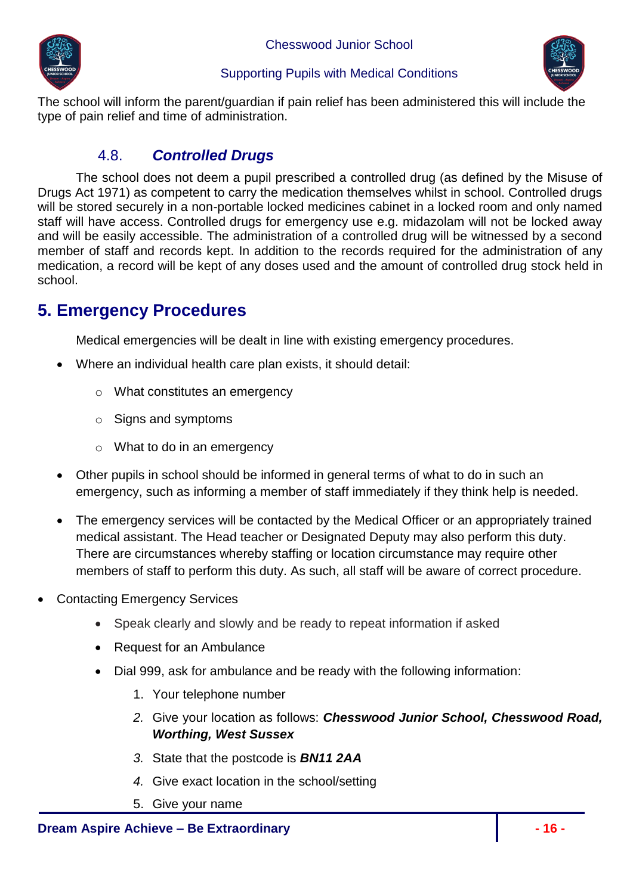



The school will inform the parent/guardian if pain relief has been administered this will include the type of pain relief and time of administration.

## 4.8. *Controlled Drugs*

<span id="page-15-0"></span>The school does not deem a pupil prescribed a controlled drug (as defined by the Misuse of Drugs Act 1971) as competent to carry the medication themselves whilst in school. Controlled drugs will be stored securely in a non-portable locked medicines cabinet in a locked room and only named staff will have access. Controlled drugs for emergency use e.g. midazolam will not be locked away and will be easily accessible. The administration of a controlled drug will be witnessed by a second member of staff and records kept. In addition to the records required for the administration of any medication, a record will be kept of any doses used and the amount of controlled drug stock held in school.

# <span id="page-15-1"></span>**5. Emergency Procedures**

Medical emergencies will be dealt in line with existing emergency procedures.

- Where an individual health care plan exists, it should detail:
	- o What constitutes an emergency
	- o Signs and symptoms
	- o What to do in an emergency
- Other pupils in school should be informed in general terms of what to do in such an emergency, such as informing a member of staff immediately if they think help is needed.
- The emergency services will be contacted by the Medical Officer or an appropriately trained medical assistant. The Head teacher or Designated Deputy may also perform this duty. There are circumstances whereby staffing or location circumstance may require other members of staff to perform this duty. As such, all staff will be aware of correct procedure.
- Contacting Emergency Services
	- Speak clearly and slowly and be ready to repeat information if asked
	- Request for an Ambulance
	- Dial 999, ask for ambulance and be ready with the following information:
		- 1. Your telephone number
		- *2.* Give your location as follows: *Chesswood Junior School, Chesswood Road, Worthing, West Sussex*
		- *3.* State that the postcode is *BN11 2AA*
		- *4.* Give exact location in the school/setting
		- 5. Give your name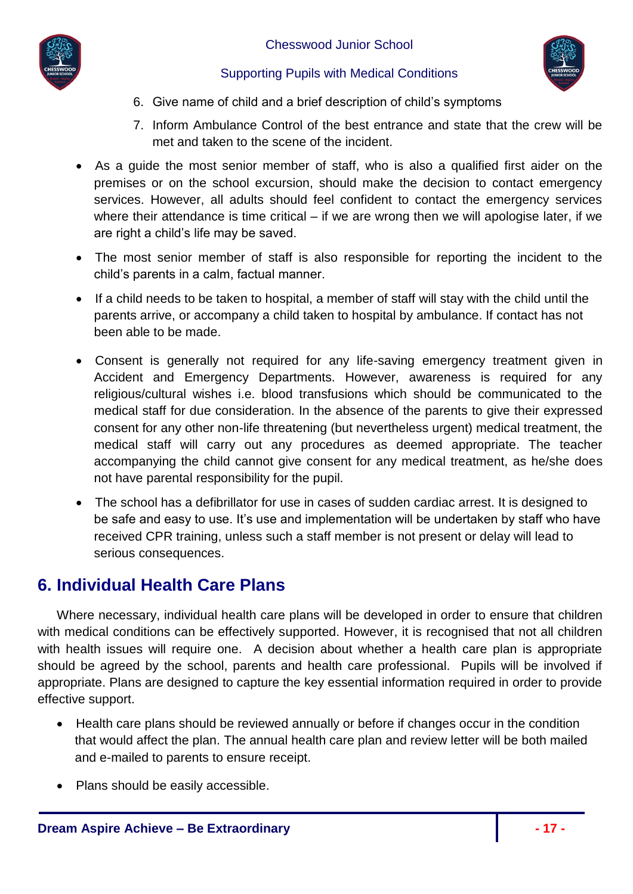



- 6. Give name of child and a brief description of child's symptoms
- 7. Inform Ambulance Control of the best entrance and state that the crew will be met and taken to the scene of the incident.
- As a guide the most senior member of staff, who is also a qualified first aider on the premises or on the school excursion, should make the decision to contact emergency services. However, all adults should feel confident to contact the emergency services where their attendance is time critical – if we are wrong then we will apologise later, if we are right a child's life may be saved.
- The most senior member of staff is also responsible for reporting the incident to the child's parents in a calm, factual manner.
- If a child needs to be taken to hospital, a member of staff will stay with the child until the parents arrive, or accompany a child taken to hospital by ambulance. If contact has not been able to be made.
- Consent is generally not required for any life-saving emergency treatment given in Accident and Emergency Departments. However, awareness is required for any religious/cultural wishes i.e. blood transfusions which should be communicated to the medical staff for due consideration. In the absence of the parents to give their expressed consent for any other non-life threatening (but nevertheless urgent) medical treatment, the medical staff will carry out any procedures as deemed appropriate. The teacher accompanying the child cannot give consent for any medical treatment, as he/she does not have parental responsibility for the pupil.
- The school has a defibrillator for use in cases of sudden cardiac arrest. It is designed to be safe and easy to use. It's use and implementation will be undertaken by staff who have received CPR training, unless such a staff member is not present or delay will lead to serious consequences.

# <span id="page-16-0"></span>**6. Individual Health Care Plans**

Where necessary, individual health care plans will be developed in order to ensure that children with medical conditions can be effectively supported. However, it is recognised that not all children with health issues will require one. A decision about whether a health care plan is appropriate should be agreed by the school, parents and health care professional. Pupils will be involved if appropriate. Plans are designed to capture the key essential information required in order to provide effective support.

- Health care plans should be reviewed annually or before if changes occur in the condition that would affect the plan. The annual health care plan and review letter will be both mailed and e-mailed to parents to ensure receipt.
- Plans should be easily accessible.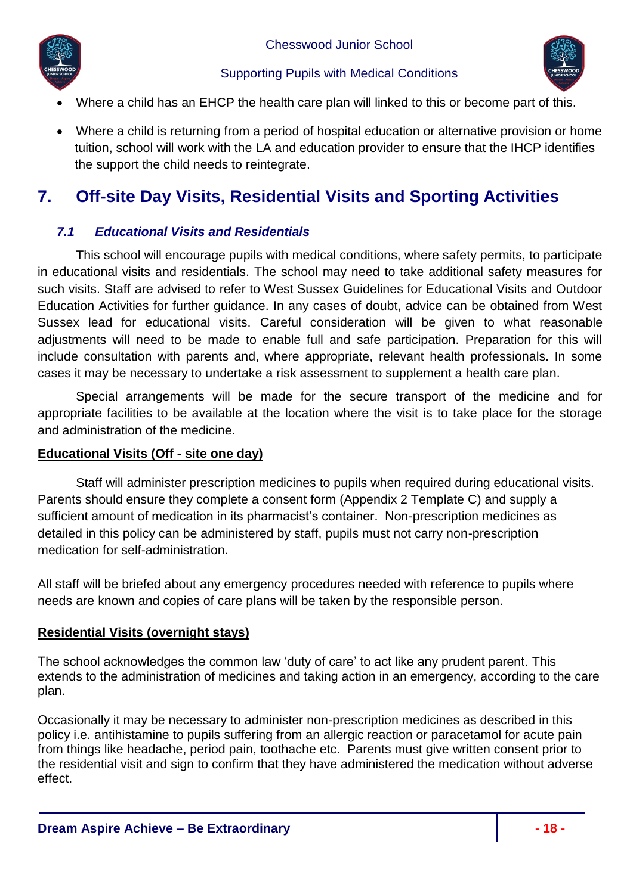



- Where a child has an EHCP the health care plan will linked to this or become part of this.
- Where a child is returning from a period of hospital education or alternative provision or home tuition, school will work with the LA and education provider to ensure that the IHCP identifies the support the child needs to reintegrate.

# <span id="page-17-0"></span>**7. Off-site Day Visits, Residential Visits and Sporting Activities**

#### <span id="page-17-1"></span>*7.1 Educational Visits and Residentials*

This school will encourage pupils with medical conditions, where safety permits, to participate in educational visits and residentials. The school may need to take additional safety measures for such visits. Staff are advised to refer to West Sussex Guidelines for Educational Visits and Outdoor Education Activities for further guidance. In any cases of doubt, advice can be obtained from West Sussex lead for educational visits. Careful consideration will be given to what reasonable adjustments will need to be made to enable full and safe participation. Preparation for this will include consultation with parents and, where appropriate, relevant health professionals. In some cases it may be necessary to undertake a risk assessment to supplement a health care plan.

Special arrangements will be made for the secure transport of the medicine and for appropriate facilities to be available at the location where the visit is to take place for the storage and administration of the medicine.

#### **Educational Visits (Off - site one day)**

Staff will administer prescription medicines to pupils when required during educational visits. Parents should ensure they complete a consent form (Appendix 2 Template C) and supply a sufficient amount of medication in its pharmacist's container. Non-prescription medicines as detailed in this policy can be administered by staff, pupils must not carry non-prescription medication for self-administration.

All staff will be briefed about any emergency procedures needed with reference to pupils where needs are known and copies of care plans will be taken by the responsible person.

#### **Residential Visits (overnight stays)**

The school acknowledges the common law 'duty of care' to act like any prudent parent. This extends to the administration of medicines and taking action in an emergency, according to the care plan.

Occasionally it may be necessary to administer non-prescription medicines as described in this policy i.e. antihistamine to pupils suffering from an allergic reaction or paracetamol for acute pain from things like headache, period pain, toothache etc. Parents must give written consent prior to the residential visit and sign to confirm that they have administered the medication without adverse effect.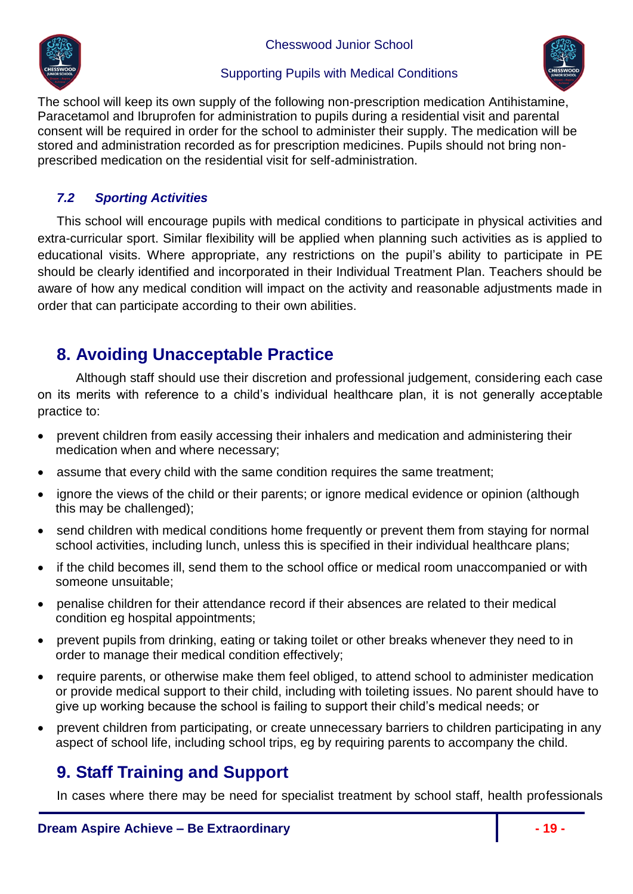

#### Supporting Pupils with Medical Conditions



The school will keep its own supply of the following non-prescription medication Antihistamine, Paracetamol and Ibruprofen for administration to pupils during a residential visit and parental consent will be required in order for the school to administer their supply. The medication will be stored and administration recorded as for prescription medicines. Pupils should not bring nonprescribed medication on the residential visit for self-administration.

### <span id="page-18-0"></span>*7.2 Sporting Activities*

This school will encourage pupils with medical conditions to participate in physical activities and extra-curricular sport. Similar flexibility will be applied when planning such activities as is applied to educational visits. Where appropriate, any restrictions on the pupil's ability to participate in PE should be clearly identified and incorporated in their Individual Treatment Plan. Teachers should be aware of how any medical condition will impact on the activity and reasonable adjustments made in order that can participate according to their own abilities.

# <span id="page-18-1"></span>**8. Avoiding Unacceptable Practice**

Although staff should use their discretion and professional judgement, considering each case on its merits with reference to a child's individual healthcare plan, it is not generally acceptable practice to:

- prevent children from easily accessing their inhalers and medication and administering their medication when and where necessary;
- assume that every child with the same condition requires the same treatment;
- ignore the views of the child or their parents; or ignore medical evidence or opinion (although this may be challenged);
- send children with medical conditions home frequently or prevent them from staying for normal school activities, including lunch, unless this is specified in their individual healthcare plans;
- if the child becomes ill, send them to the school office or medical room unaccompanied or with someone unsuitable;
- penalise children for their attendance record if their absences are related to their medical condition eg hospital appointments;
- prevent pupils from drinking, eating or taking toilet or other breaks whenever they need to in order to manage their medical condition effectively;
- require parents, or otherwise make them feel obliged, to attend school to administer medication or provide medical support to their child, including with toileting issues. No parent should have to give up working because the school is failing to support their child's medical needs; or
- prevent children from participating, or create unnecessary barriers to children participating in any aspect of school life, including school trips, eg by requiring parents to accompany the child.

# <span id="page-18-2"></span>**9. Staff Training and Support**

In cases where there may be need for specialist treatment by school staff, health professionals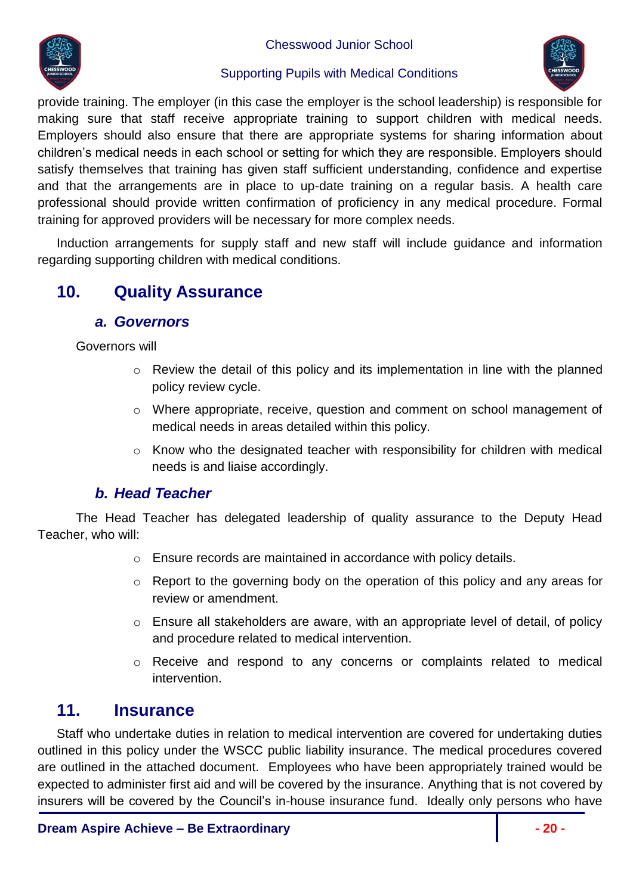

#### Supporting Pupils with Medical Conditions



provide training. The employer (in this case the employer is the school leadership) is responsible for making sure that staff receive appropriate training to support children with medical needs. Employers should also ensure that there are appropriate systems for sharing information about children's medical needs in each school or setting for which they are responsible. Employers should satisfy themselves that training has given staff sufficient understanding, confidence and expertise and that the arrangements are in place to up-date training on a regular basis. A health care professional should provide written confirmation of proficiency in any medical procedure. Formal training for approved providers will be necessary for more complex needs.

Induction arrangements for supply staff and new staff will include guidance and information regarding supporting children with medical conditions.

# <span id="page-19-1"></span><span id="page-19-0"></span>**10. Quality Assurance**

#### *a. Governors*

Governors will

- o Review the detail of this policy and its implementation in line with the planned policy review cycle.
- o Where appropriate, receive, question and comment on school management of medical needs in areas detailed within this policy.
- o Know who the designated teacher with responsibility for children with medical needs is and liaise accordingly.

### *b. Head Teacher*

<span id="page-19-2"></span>The Head Teacher has delegated leadership of quality assurance to the Deputy Head Teacher, who will:

- o Ensure records are maintained in accordance with policy details.
- o Report to the governing body on the operation of this policy and any areas for review or amendment.
- o Ensure all stakeholders are aware, with an appropriate level of detail, of policy and procedure related to medical intervention.
- o Receive and respond to any concerns or complaints related to medical intervention.

# <span id="page-19-3"></span>**11. Insurance**

Staff who undertake duties in relation to medical intervention are covered for undertaking duties outlined in this policy under the WSCC public liability insurance. The medical procedures covered are outlined in the attached document. Employees who have been appropriately trained would be expected to administer first aid and will be covered by the insurance. Anything that is not covered by insurers will be covered by the Council's in-house insurance fund. Ideally only persons who have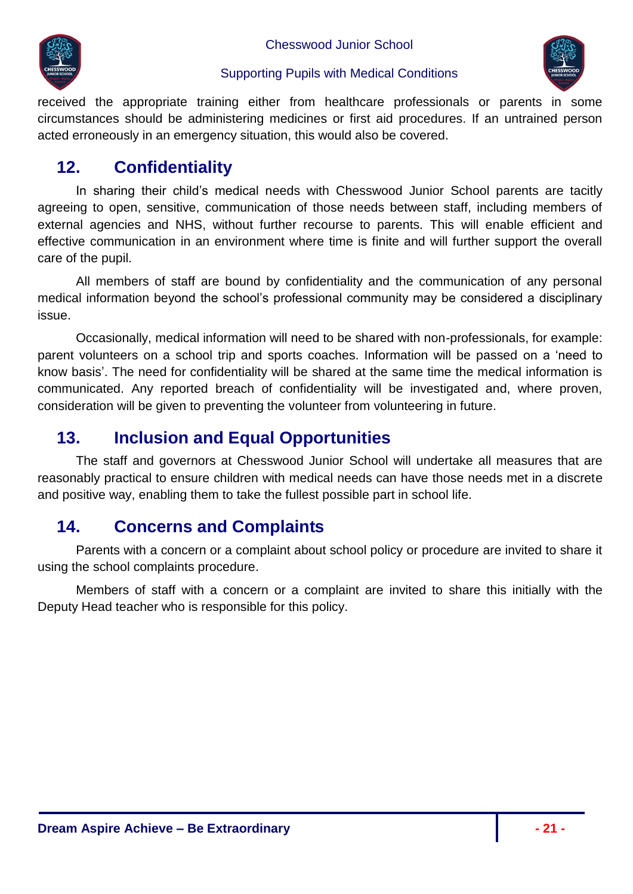



received the appropriate training either from healthcare professionals or parents in some circumstances should be administering medicines or first aid procedures. If an untrained person acted erroneously in an emergency situation, this would also be covered.

# <span id="page-20-0"></span>**12. Confidentiality**

In sharing their child's medical needs with Chesswood Junior School parents are tacitly agreeing to open, sensitive, communication of those needs between staff, including members of external agencies and NHS, without further recourse to parents. This will enable efficient and effective communication in an environment where time is finite and will further support the overall care of the pupil.

All members of staff are bound by confidentiality and the communication of any personal medical information beyond the school's professional community may be considered a disciplinary issue.

Occasionally, medical information will need to be shared with non-professionals, for example: parent volunteers on a school trip and sports coaches. Information will be passed on a 'need to know basis'. The need for confidentiality will be shared at the same time the medical information is communicated. Any reported breach of confidentiality will be investigated and, where proven, consideration will be given to preventing the volunteer from volunteering in future.

# <span id="page-20-1"></span>**13. Inclusion and Equal Opportunities**

The staff and governors at Chesswood Junior School will undertake all measures that are reasonably practical to ensure children with medical needs can have those needs met in a discrete and positive way, enabling them to take the fullest possible part in school life.

# <span id="page-20-2"></span>**14. Concerns and Complaints**

Parents with a concern or a complaint about school policy or procedure are invited to share it using the school complaints procedure.

Members of staff with a concern or a complaint are invited to share this initially with the Deputy Head teacher who is responsible for this policy.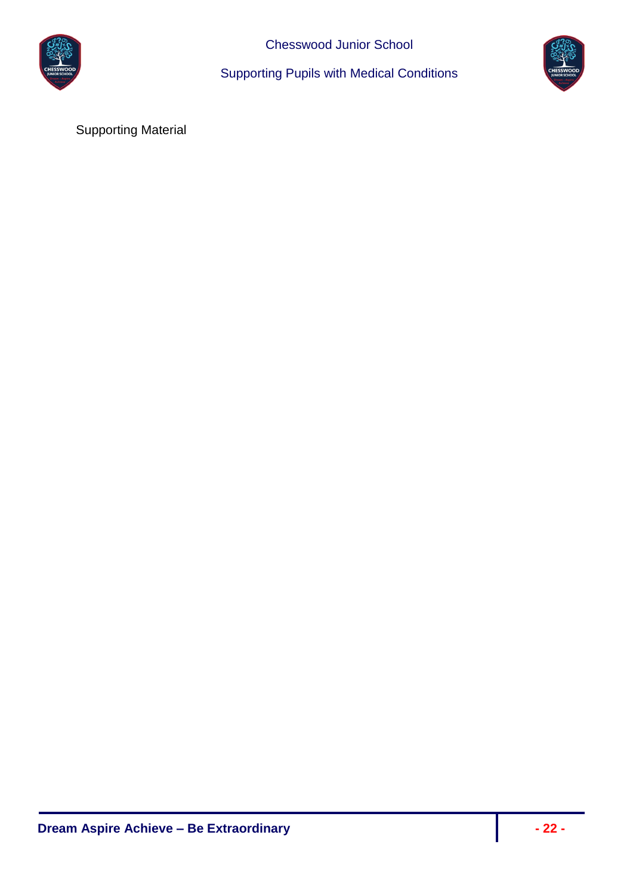

Supporting Pupils with Medical Conditions



Supporting Material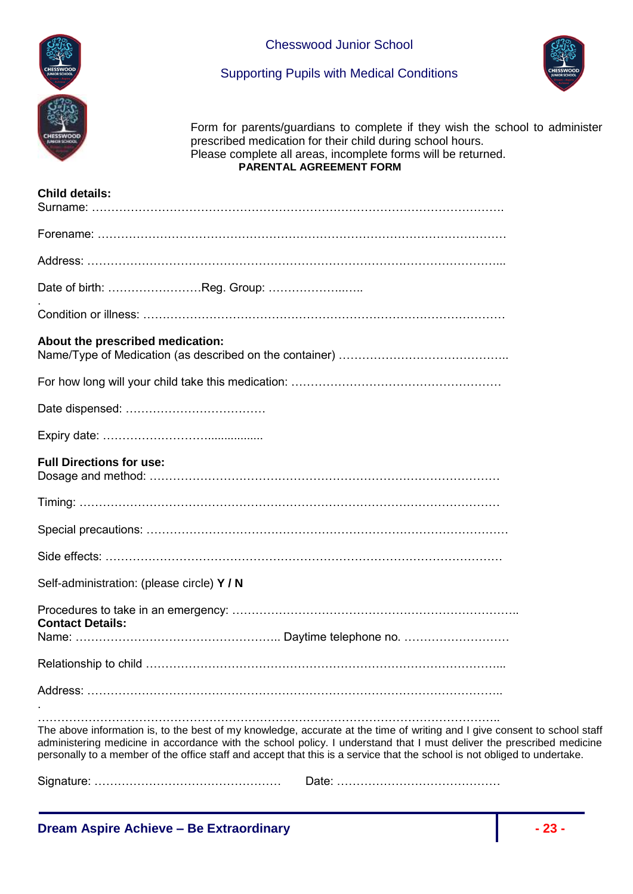



Supporting Pupils with Medical Conditions

Form for parents/guardians to complete if they wish the school to administer prescribed medication for their child during school hours. Please complete all areas, incomplete forms will be returned. **PARENTAL AGREEMENT FORM**

| <b>Child details:</b>                                                                                                                                                                                                                                                                                                                                                           |
|---------------------------------------------------------------------------------------------------------------------------------------------------------------------------------------------------------------------------------------------------------------------------------------------------------------------------------------------------------------------------------|
|                                                                                                                                                                                                                                                                                                                                                                                 |
|                                                                                                                                                                                                                                                                                                                                                                                 |
| Date of birth: Reg. Group:                                                                                                                                                                                                                                                                                                                                                      |
|                                                                                                                                                                                                                                                                                                                                                                                 |
| About the prescribed medication:                                                                                                                                                                                                                                                                                                                                                |
|                                                                                                                                                                                                                                                                                                                                                                                 |
|                                                                                                                                                                                                                                                                                                                                                                                 |
|                                                                                                                                                                                                                                                                                                                                                                                 |
| <b>Full Directions for use:</b>                                                                                                                                                                                                                                                                                                                                                 |
|                                                                                                                                                                                                                                                                                                                                                                                 |
|                                                                                                                                                                                                                                                                                                                                                                                 |
|                                                                                                                                                                                                                                                                                                                                                                                 |
| Self-administration: (please circle) Y / N                                                                                                                                                                                                                                                                                                                                      |
| <b>Contact Details:</b>                                                                                                                                                                                                                                                                                                                                                         |
|                                                                                                                                                                                                                                                                                                                                                                                 |
|                                                                                                                                                                                                                                                                                                                                                                                 |
| The above information is, to the best of my knowledge, accurate at the time of writing and I give consent to school staff<br>administering medicine in accordance with the school policy. I understand that I must deliver the prescribed medicine<br>personally to a member of the office staff and accept that this is a service that the school is not obliged to undertake. |
|                                                                                                                                                                                                                                                                                                                                                                                 |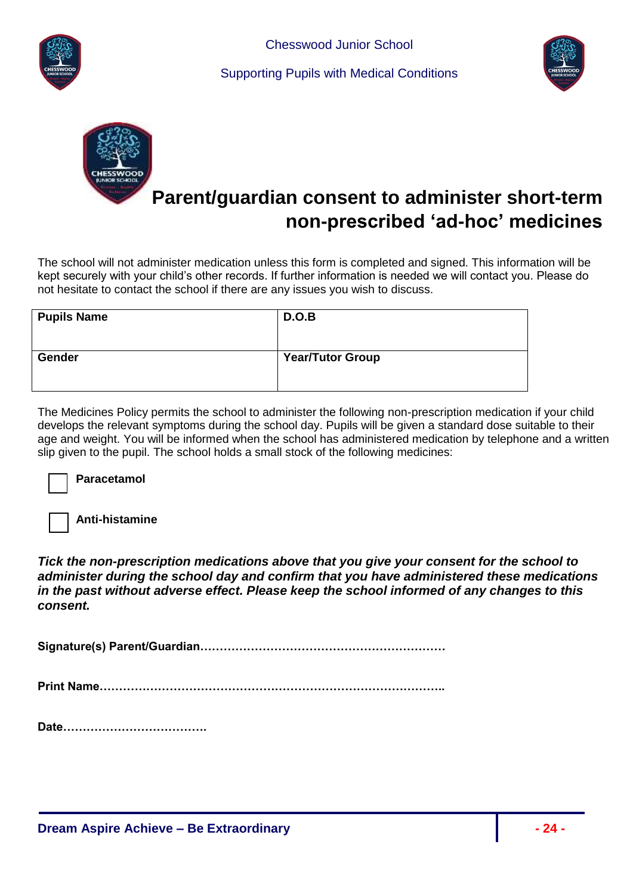





# **Parent/guardian consent to administer short-term non-prescribed 'ad-hoc' medicines**

The school will not administer medication unless this form is completed and signed. This information will be kept securely with your child's other records. If further information is needed we will contact you. Please do not hesitate to contact the school if there are any issues you wish to discuss.

| <b>Pupils Name</b> | D.O.B                   |
|--------------------|-------------------------|
| <b>Gender</b>      | <b>Year/Tutor Group</b> |

The Medicines Policy permits the school to administer the following non-prescription medication if your child develops the relevant symptoms during the school day. Pupils will be given a standard dose suitable to their age and weight. You will be informed when the school has administered medication by telephone and a written slip given to the pupil. The school holds a small stock of the following medicines:

**Paracetamol** 

**Anti-histamine**

*Tick the non-prescription medications above that you give your consent for the school to administer during the school day and confirm that you have administered these medications in the past without adverse effect. Please keep the school informed of any changes to this consent.*

**Signature(s) Parent/Guardian………………………………………………………** 

**Print Name……………………………………………………………………………..**

**Date……………………………….**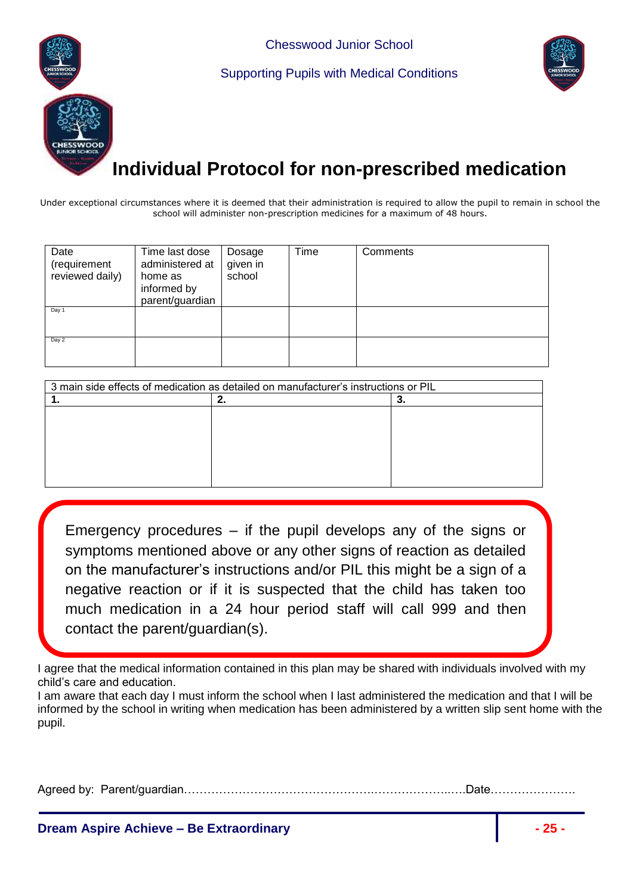



# **Individual Protocol for non-prescribed medication**

Under exceptional circumstances where it is deemed that their administration is required to allow the pupil to remain in school the school will administer non-prescription medicines for a maximum of 48 hours.

| Date<br>(requirement<br>reviewed daily) | Time last dose<br>administered at<br>home as<br>informed by<br>parent/guardian | Dosage<br>given in<br>school | Time | Comments |
|-----------------------------------------|--------------------------------------------------------------------------------|------------------------------|------|----------|
| Day 1                                   |                                                                                |                              |      |          |
| Day 2                                   |                                                                                |                              |      |          |

| 3 main side effects of medication as detailed on manufacturer's instructions or PIL |  |  |
|-------------------------------------------------------------------------------------|--|--|
|                                                                                     |  |  |
|                                                                                     |  |  |
|                                                                                     |  |  |
|                                                                                     |  |  |
|                                                                                     |  |  |
|                                                                                     |  |  |
|                                                                                     |  |  |
|                                                                                     |  |  |

 negative reaction or if it is suspected that the child has taken too Emergency procedures – if the pupil develops any of the signs or symptoms mentioned above or any other signs of reaction as detailed on the manufacturer's instructions and/or PIL this might be a sign of a much medication in a 24 hour period staff will call 999 and then contact the parent/guardian(s).

I agree that the medical information contained in this plan may be shared with individuals involved with my child's care and education.

| I am aware that each day I must inform the school when I last administered the medication and that I will be |
|--------------------------------------------------------------------------------------------------------------|
| informed by the school in writing when medication has been administered by a written slip sent home with the |
| pupil.                                                                                                       |

Agreed by: Parent/guardian………………………………………….………………..….Date………………….